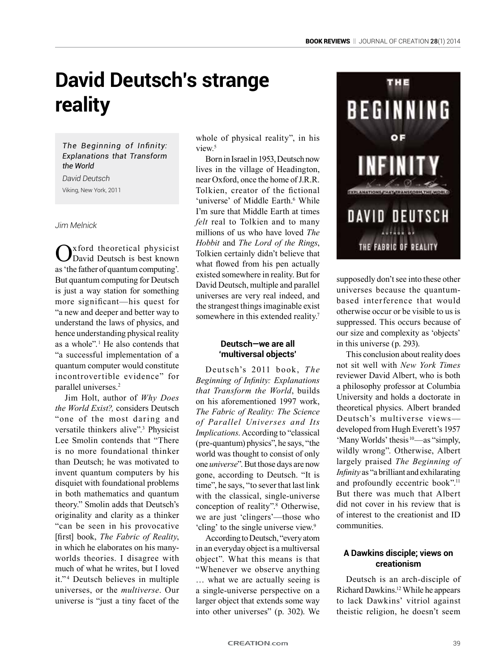# **David Deutsch's strange reality**

## *The Beginning of Infinity: Explanations that Transform the World*

*David Deutsch* Viking, New York, 2011

*Jim Melnick*

Oxford theoretical physicist David Deutsch is best known as 'the father of quantum computing'. But quantum computing for Deutsch is just a way station for something more significant—his quest for "a new and deeper and better way to understand the laws of physics, and hence understanding physical reality as a whole". <sup>1</sup> He also contends that "a successful implementation of a quantum computer would constitute incontrovertible evidence" for parallel universes.<sup>2</sup>

Jim Holt, author of *Why Does the World Exist?,* considers Deutsch "one of the most daring and versatile thinkers alive".3 Physicist Lee Smolin contends that "There is no more foundational thinker than Deutsch; he was motivated to invent quantum computers by his disquiet with foundational problems in both mathematics and quantum theory." Smolin adds that Deutsch's originality and clarity as a thinker "can be seen in his provocative [first] book, *The Fabric of Reality*, in which he elaborates on his manyworlds theories. I disagree with much of what he writes, but I loved it." <sup>4</sup> Deutsch believes in multiple universes, or the *multiverse*. Our universe is "just a tiny facet of the

whole of physical reality", in his view<sup>5</sup>

Born in Israel in 1953, Deutsch now lives in the village of Headington, near Oxford, once the home of J.R.R. Tolkien, creator of the fictional 'universe' of Middle Earth.<sup>6</sup> While I'm sure that Middle Earth at times *felt* real to Tolkien and to many millions of us who have loved *The Hobbit* and *The Lord of the Rings*, Tolkien certainly didn't believe that what flowed from his pen actually existed somewhere in reality. But for David Deutsch, multiple and parallel universes are very real indeed, and the strangest things imaginable exist somewhere in this extended reality.<sup>7</sup>

# **Deutsch—we are all 'multiversal objects'**

Deutsch's 2011 book, *The Beginning of Infinity: Explanations that Transform the World*, builds on his aforementioned 1997 work, *The Fabric of Reality: The Science of Parallel Universes and Its Implications*. According to "classical (pre-quantum) physics", he says, "the world was thought to consist of only one *universe*". But those days are now gone, according to Deutsch. "It is time", he says, "to sever that last link with the classical, single-universe conception of reality".8 Otherwise, we are just 'clingers'—those who 'cling' to the single universe view.<sup>9</sup>

According to Deutsch, "every atom in an everyday object is a multiversal object". What this means is that "Whenever we observe anything … what we are actually seeing is a single-universe perspective on a larger object that extends some way into other universes" (p. 302). We



supposedly don't see into these other universes because the quantumbased interference that would otherwise occur or be visible to us is suppressed. This occurs because of our size and complexity as 'objects' in this universe (p. 293).

This conclusion about reality does not sit well with *New York Times*  reviewer David Albert, who is both a philosophy professor at Columbia University and holds a doctorate in theoretical physics. Albert branded Deutsch's multiverse views developed from Hugh Everett's 1957 'Many Worlds' thesis <sup>10</sup>—as "simply, wildly wrong". Otherwise, Albert largely praised *The Beginning of Infinity* as "a brilliant and exhilarating and profoundly eccentric book".<sup>11</sup> But there was much that Albert did not cover in his review that is of interest to the creationist and ID communities.

### **A Dawkins disciple; views on creationism**

Deutsch is an arch-disciple of Richard Dawkins.12 While he appears to lack Dawkins' vitriol against theistic religion, he doesn't seem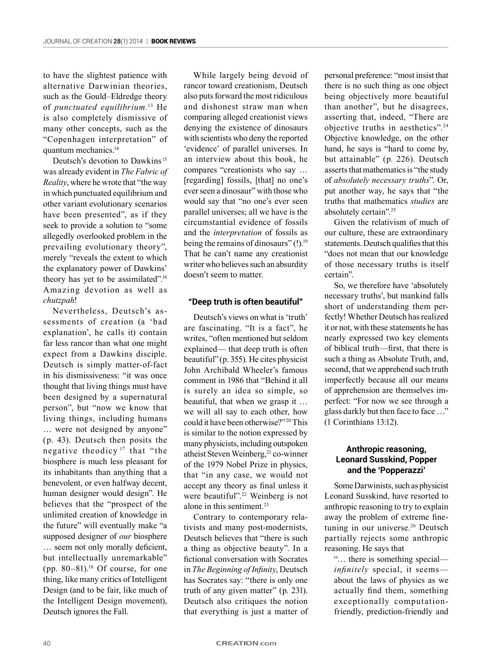to have the slightest patience with alternative Darwinian theories, such as the Gould–Eldredge theory of *punctuated equilibrium.*13 He is also completely dismissive of many other concepts, such as the "Copenhagen interpretation" of quantum mechanics.14

Deutsch's devotion to Dawkins<sup>15</sup> was already evident in *The Fabric of Reality*, where he wrote that "the way in which punctuated equilibrium and other variant evolutionary scenarios have been presented", as if they seek to provide a solution to "some allegedly overlooked problem in the prevailing evolutionary theory", merely "reveals the extent to which the explanatory power of Dawkins' theory has yet to be assimilated".16 Amazing devotion as well as *chutzpah*!

Nevertheless, Deutsch's assessments of creation (a 'bad explanation', he calls it) contain far less rancor than what one might expect from a Dawkins disciple. Deutsch is simply matter-of-fact in his dismissiveness: "it was once thought that living things must have been designed by a supernatural person", but "now we know that living things, including humans … were not designed by anyone" (p. 43). Deutsch then posits the negative theodicy  17 that "the biosphere is much less pleasant for its inhabitants than anything that a benevolent, or even halfway decent, human designer would design". He believes that the "prospect of the unlimited creation of knowledge in the future" will eventually make "a supposed designer of *our* biosphere … seem not only morally deficient, but intellectually unremarkable" (pp.  $80-81$ ).<sup>18</sup> Of course, for one thing, like many critics of Intelligent Design (and to be fair, like much of the Intelligent Design movement), Deutsch ignores the Fall.

While largely being devoid of rancor toward creationism, Deutsch also puts forward the most ridiculous and dishonest straw man when comparing alleged creationist views denying the existence of dinosaurs with scientists who deny the reported 'evidence' of parallel universes. In an interview about this book, he compares "creationists who say … [regarding] fossils, [that] no one's ever seen a dinosaur" with those who would say that "no one's ever seen parallel universes; all we have is the circumstantial evidence of fossils and the *interpretation* of fossils as being the remains of dinosaurs" (!).<sup>19</sup> That he can't name any creationist writer who believes such an absurdity doesn't seem to matter.

#### **"Deep truth is often beautiful"**

Deutsch's views on what is 'truth' are fascinating. "It is a fact", he writes, "often mentioned but seldom explained— that deep truth is often beautiful"(p. 355). He cites physicist John Archibald Wheeler's famous comment in 1986 that "Behind it all is surely an idea so simple, so beautiful, that when we grasp it … we will all say to each other, how could it have been otherwise?" 20 This is similar to the notion expressed by many physicists, including outspoken atheist Steven Weinberg,<sup>21</sup> co-winner of the 1979 Nobel Prize in physics, that "in any case, we would not accept any theory as final unless it were beautiful".<sup>22</sup> Weinberg is not alone in this sentiment.<sup>23</sup>

Contrary to contemporary relativists and many post-modernists, Deutsch believes that "there is such a thing as objective beauty". In a fictional conversation with Socrates in *The Beginning of Infinity*, Deutsch has Socrates say: "there is only one truth of any given matter" (p. 231). Deutsch also critiques the notion that everything is just a matter of personal preference: "most insist that there is no such thing as one object being objectively more beautiful than another", but he disagrees, asserting that, indeed, "There are objective truths in aesthetics".24 Objective knowledge, on the other hand, he says is "hard to come by, but attainable" (p. 226). Deutsch asserts that mathematics is "the study of *absolutely necessary truths*". Or, put another way, he says that "the truths that mathematics *studies* are absolutely certain".25

Given the relativism of much of our culture, these are extraordinary statements. Deutsch qualifies that this "does not mean that our knowledge of those necessary truths is itself certain".

So, we therefore have 'absolutely necessary truths', but mankind falls short of understanding them perfectly! Whether Deutsch has realized it or not, with these statements he has nearly expressed two key elements of biblical truth—first, that there is such a thing as Absolute Truth, and, second, that we apprehend such truth imperfectly because all our means of apprehension are themselves imperfect: "For now we see through a glass darkly but then face to face …" (1 Corinthians 13:12).

#### **Anthropic reasoning, Leonard Susskind, Popper and the 'Popperazzi'**

Some Darwinists, such as physicist Leonard Susskind, have resorted to anthropic reasoning to try to explain away the problem of extreme finetuning in our universe.<sup>26</sup> Deutsch partially rejects some anthropic reasoning. He says that

"… there is something special *infinitely* special, it seems about the laws of physics as we actually find them, something exceptionally computationfriendly, prediction-friendly and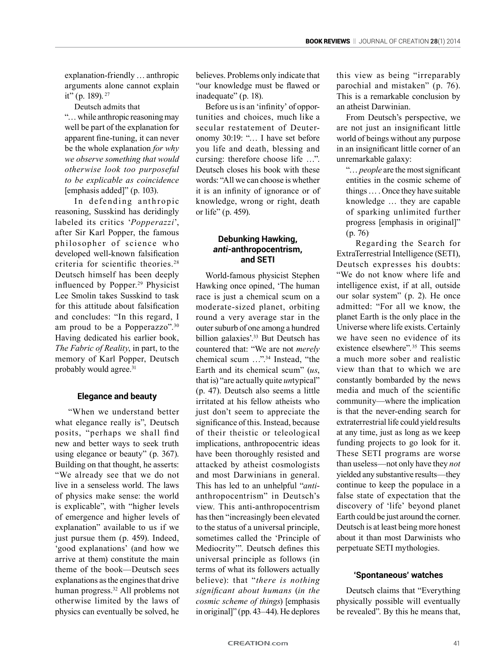explanation-friendly … anthropic arguments alone cannot explain it" (p. 189). 27

Deutsch admits that

"… while anthropic reasoning may well be part of the explanation for apparent fine-tuning, it can never be the whole explanation *for why we observe something that would otherwise look too purposeful to be explicable as coincidence* [emphasis added]" (p. 103).

In defending anthropic reasoning, Susskind has deridingly labeled its critics '*Popperazzi*', after Sir Karl Popper, the famous ph ilosopher of science who developed well-known falsification criteria for scientific theories.<sup>28</sup> Deutsch himself has been deeply influenced by Popper.29 Physicist Lee Smolin takes Susskind to task for this attitude about falsification and concludes: "In this regard, I am proud to be a Popperazzo".30 Having dedicated his earlier book, *The Fabric of Reality*, in part, to the memory of Karl Popper, Deutsch probably would agree.<sup>31</sup>

### **Elegance and beauty**

 "When we understand better what elegance really is", Deutsch posits, "perhaps we shall find new and better ways to seek truth using elegance or beauty" (p. 367). Building on that thought, he asserts: "We already see that we do not live in a senseless world. The laws of physics make sense: the world is explicable", with "higher levels of emergence and higher levels of explanation" available to us if we just pursue them (p. 459). Indeed, 'good explanations' (and how we arrive at them) constitute the main theme of the book—Deutsch sees explanations as the engines that drive human progress.32 All problems not otherwise limited by the laws of physics can eventually be solved, he

believes. Problems only indicate that "our knowledge must be flawed or inadequate" (p. 18).

Before us is an 'infinity' of opportunities and choices, much like a secular restatement of Deuteronomy 30:19: "… I have set before you life and death, blessing and cursing: therefore choose life …". Deutsch closes his book with these words: "All we can choose is whether it is an infinity of ignorance or of knowledge, wrong or right, death or life" (p. 459).

#### **Debunking Hawking,** *anti-***anthropocentrism, and SETI**

World-famous physicist Stephen Hawking once opined, 'The human race is just a chemical scum on a moderate-sized planet, orbiting round a very average star in the outer suburb of one among a hundred billion galaxies'.33 But Deutsch has countered that: "We are not *merely* chemical scum …".34 Instead, "the Earth and its chemical scum" (*us*, that is) "are actually quite *un*typical" (p. 47). Deutsch also seems a little irritated at his fellow atheists who just don't seem to appreciate the significance of this. Instead, because of their theistic or teleological implications, anthropocentric ideas have been thoroughly resisted and attacked by atheist cosmologists and most Darwinians in general. This has led to an unhelpful "*anti*anthropocentrism" in Deutsch's view. This anti-anthropocentrism has then "increasingly been elevated to the status of a universal principle, sometimes called the 'Principle of Mediocrity'". Deutsch defines this universal principle as follows (in terms of what its followers actually believe): that "*there is nothing significant about humans* (*in the cosmic scheme of things*) [emphasis in original]" (pp. 43–44). He deplores

this view as being "irreparably parochial and mistaken" (p. 76). This is a remarkable conclusion by an atheist Darwinian.

From Deutsch's perspective, we are not just an insignificant little world of beings without any purpose in an insignificant little corner of an unremarkable galaxy:

"… *people* are the most significant entities in the cosmic scheme of things … . Once they have suitable knowledge … they are capable of sparking unlimited further progress [emphasis in original]"  $(p. 76)$ .

Regarding the Search for ExtraTerrestrial Intelligence (SETI), Deutsch expresses his doubts: "We do not know where life and intelligence exist, if at all, outside our solar system" (p. 2). He once admitted: "For all we know, the planet Earth is the only place in the Universe where life exists. Certainly we have seen no evidence of its existence elsewhere". 35 This seems a much more sober and realistic view than that to which we are constantly bombarded by the news media and much of the scientific community—where the implication is that the never-ending search for extraterrestrial life could yield results at any time, just as long as we keep funding projects to go look for it. These SETI programs are worse than useless—not only have they *not* yielded any substantive results—they continue to keep the populace in a false state of expectation that the discovery of 'life' beyond planet Earth could be just around the corner. Deutsch is at least being more honest about it than most Darwinists who perpetuate SETI mythologies.

### **'Spontaneous' watches**

Deutsch claims that "Everything physically possible will eventually be revealed". By this he means that,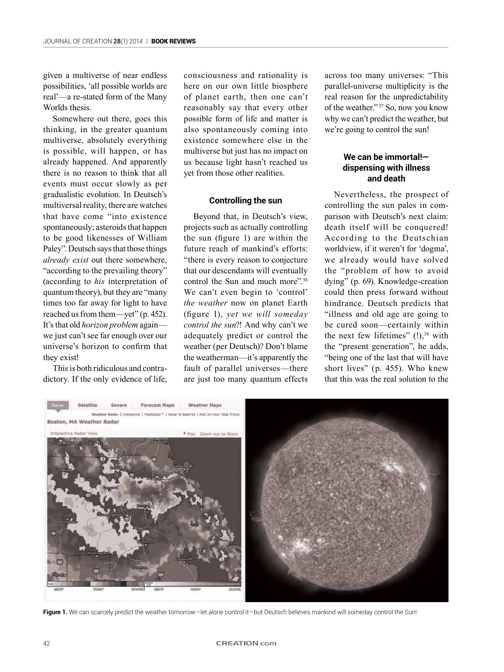given a multiverse of near endless possibilities, 'all possible worlds are real'—a re-stated form of the Many Worlds thesis.

Somewhere out there, goes this thinking, in the greater quantum multiverse, absolutely everything is possible, will happen, or has already happened. And apparently there is no reason to think that all events must occur slowly as per gradualistic evolution. In Deutsch's multiversal reality, there are watches that have come "into existence spontaneously; asteroids that happen to be good likenesses of William Paley". Deutsch says that those things *already exist* out there somewhere, "according to the prevailing theory" (according to *his* interpretation of quantum theory), but they are "many times too far away for light to have reached us from them—yet" (p. 452). It's that old *horizon problem* again we just can't see far enough over our universe's horizon to confirm that they exist!

This is both ridiculous and contradictory. If the only evidence of life,

consciousness and rationality is here on our own little biosphere of planet earth, then one can't reasonably say that every other possible form of life and matter is also spontaneously coming into existence somewhere else in the multiverse but just has no impact on us because light hasn't reached us yet from those other realities.

#### **Controlling the sun**

Beyond that, in Deutsch's view, projects such as actually controlling the sun (figure 1) are within the future reach of mankind's efforts: "there is every reason to conjecture that our descendants will eventually control the Sun and much more".36 We can't even begin to 'control' *the weather* now on planet Earth (figure 1), *yet we will someday control the sun*?! And why can't we adequately predict or control the weather (per Deutsch)? Don't blame the weatherman—it's apparently the fault of parallel universes—there are just too many quantum effects

across too many universes: "This parallel-universe multiplicity is the real reason for the unpredictability of the weather." 37 So, now you know why we can't predict the weather, but we're going to control the sun!

#### **We can be immortal! dispensing with illness and death**

Nevertheless, the prospect of controlling the sun pales in comparison with Deutsch's next claim: death itself will be conquered! According to the Deutschian worldview, if it weren't for 'dogma', we already would have solved the "problem of how to avoid dying" (p. 69). Knowledge-creation could then press forward without hindrance. Deutsch predicts that "illness and old age are going to be cured soon—certainly within the next few lifetimes"  $(!)$ ,<sup>38</sup> with the "present generation", he adds, "being one of the last that will have short lives" (p. 455). Who knew that this was the real solution to the



Figure 1. We can scarcely predict the weather tomorrow—let alone control it—but Deutsch believes mankind will someday control the Sun!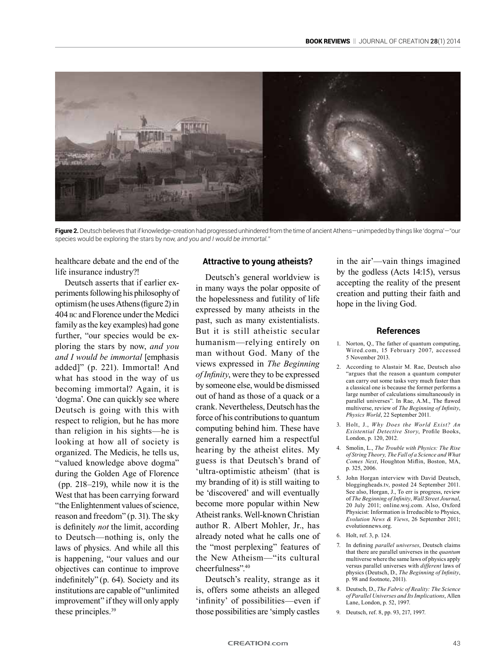

**Figure 2.** Deutsch believes that if knowledge-creation had progressed unhindered from the time of ancient Athens—unimpeded by things like 'dogma'—"our species would be exploring the stars by no*w, and you and I would be immortal."*

healthcare debate and the end of the life insurance industry?!

Deutsch asserts that if earlier experiments following his philosophy of optimism (he uses Athens (figure 2) in 404 bc and Florence under the Medici family as the key examples) had gone further, "our species would be exploring the stars by now, *and you and I would be immortal* [emphasis added]" (p. 221). Immortal! And what has stood in the way of us becoming immortal? Again, it is 'dogma'. One can quickly see where Deutsch is going with this with respect to religion, but he has more than religion in his sights—he is looking at how all of society is organized. The Medicis, he tells us, "valued knowledge above dogma" during the Golden Age of Florence (pp. 218–219), while now it is the West that has been carrying forward "the Enlightenment values of science, reason and freedom" (p. 31). The sky is definitely *not* the limit, according to Deutsch—nothing is, only the laws of physics. And while all this is happening, "our values and our objectives can continue to improve indefinitely" (p. 64). Society and its institutions are capable of "unlimited improvement" if they will only apply these principles.<sup>39</sup>

#### **Attractive to young atheists?**

Deutsch's general worldview is in many ways the polar opposite of the hopelessness and futility of life expressed by many atheists in the past, such as many existentialists. But it is still atheistic secular humanism—relying entirely on man without God. Many of the views expressed in *The Beginning of Infinity*, were they to be expressed by someone else, would be dismissed out of hand as those of a quack or a crank. Nevertheless, Deutsch has the force of his contributions to quantum computing behind him. These have generally earned him a respectful hearing by the atheist elites. My guess is that Deutsch's brand of 'ultra-optimistic atheism' (that is my branding of it) is still waiting to be 'discovered' and will eventually become more popular within New Atheist ranks. Well-known Christian author R. Albert Mohler, Jr., has already noted what he calls one of the "most perplexing" features of the New Atheism—"its cultural cheerfulness".40

Deutsch's reality, strange as it is, offers some atheists an alleged 'infinity' of possibilities—even if those possibilities are 'simply castles

in the air'—vain things imagined by the godless (Acts 14:15), versus accepting the reality of the present creation and putting their faith and hope in the living God.

#### **References**

- 1. Norton, Q., The father of quantum computing, Wired.com, 15 February 2007, accessed 5 November 2013.
- 2. According to Alastair M. Rae, Deutsch also "argues that the reason a quantum computer can carry out some tasks very much faster than a classical one is because the former performs a large number of calculations simultaneously in parallel universes". In Rae, A.M., The flawed multiverse, review of *The Beginning of Infinity*, *Physics World*, 22 September 2011.
- 3. Holt, J., *Why Does the World Exist? An Existential Detective Story*, Profile Books, London, p. 120, 2012.
- 4. Smolin, L., *The Trouble with Physics: The Rise of String Theory, The Fall of a Science and What Comes Next*, Houghton Miflin, Boston, MA, p. 325, 2006.
- 5. John Horgan interview with David Deutsch, bloggingheads.tv, posted 24 September 2011. See also, Horgan, J., To err is progress, review of *The Beginning of Infinity*, *Wall Street Journal*, 20 July 2011; online.wsj.com. Also, Oxford Physicist: Information is Irreducible to Physics, *Evolution News & Views*, 26 September 2011; evolutionnews.org.
- 6. Holt, ref. 3, p. 124.
- 7. In defining *parallel universes*, Deutsch claims that there are parallel universes in the *quantum*  multiverse where the same laws of physics apply versus parallel universes with *different* laws of physics (Deutsch, D., *The Beginning of Infinity*, p. 98 and footnote, 2011).
- 8. Deutsch, D., *The Fabric of Reality: The Science of Parallel Universes and Its Implications*, Allen Lane, London, p. 52, 1997.
- 9. Deutsch, ref. 8, pp. 93, 217, 1997.